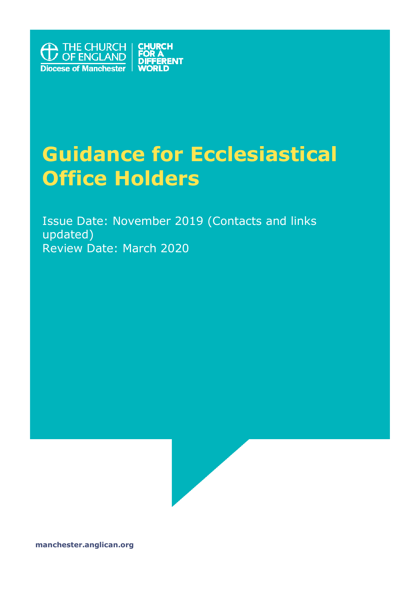

# **Guidance for Ecclesiastical Office Holders**

Issue Date: November 2019 (Contacts and links updated) Review Date: March 2020



**manchester.anglican.org**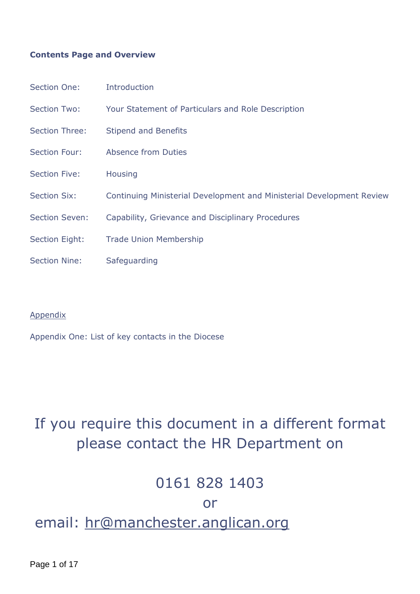#### **Contents Page and Overview**

| Section One:          | <b>Introduction</b>                                                   |
|-----------------------|-----------------------------------------------------------------------|
| <b>Section Two:</b>   | Your Statement of Particulars and Role Description                    |
| Section Three:        | <b>Stipend and Benefits</b>                                           |
| <b>Section Four:</b>  | Absence from Duties                                                   |
| <b>Section Five:</b>  | <b>Housing</b>                                                        |
| <b>Section Six:</b>   | Continuing Ministerial Development and Ministerial Development Review |
| <b>Section Seven:</b> | Capability, Grievance and Disciplinary Procedures                     |
| Section Eight:        | <b>Trade Union Membership</b>                                         |
| <b>Section Nine:</b>  | Safeguarding                                                          |

#### Appendix

Appendix One: List of key contacts in the Diocese

# If you require this document in a different format please contact the HR Department on

### 0161 828 1403

#### or

## email: hr@manchester.anglican.org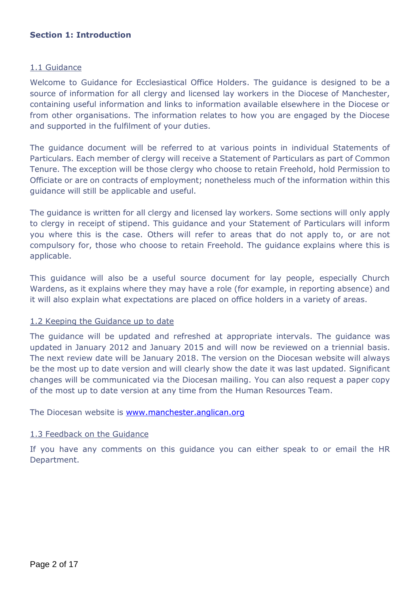#### **Section 1: Introduction**

#### 1.1 Guidance

Welcome to Guidance for Ecclesiastical Office Holders. The guidance is designed to be a source of information for all clergy and licensed lay workers in the Diocese of Manchester, containing useful information and links to information available elsewhere in the Diocese or from other organisations. The information relates to how you are engaged by the Diocese and supported in the fulfilment of your duties.

The guidance document will be referred to at various points in individual Statements of Particulars. Each member of clergy will receive a Statement of Particulars as part of Common Tenure. The exception will be those clergy who choose to retain Freehold, hold Permission to Officiate or are on contracts of employment; nonetheless much of the information within this guidance will still be applicable and useful.

The guidance is written for all clergy and licensed lay workers. Some sections will only apply to clergy in receipt of stipend. This guidance and your Statement of Particulars will inform you where this is the case. Others will refer to areas that do not apply to, or are not compulsory for, those who choose to retain Freehold. The guidance explains where this is applicable.

This guidance will also be a useful source document for lay people, especially Church Wardens, as it explains where they may have a role (for example, in reporting absence) and it will also explain what expectations are placed on office holders in a variety of areas.

#### 1.2 Keeping the Guidance up to date

The guidance will be updated and refreshed at appropriate intervals. The guidance was updated in January 2012 and January 2015 and will now be reviewed on a triennial basis. The next review date will be January 2018. The version on the Diocesan website will always be the most up to date version and will clearly show the date it was last updated. Significant changes will be communicated via the Diocesan mailing. You can also request a paper copy of the most up to date version at any time from the Human Resources Team.

The Diocesan website is www.manchester.anglican.org

#### 1.3 Feedback on the Guidance

If you have any comments on this guidance you can either speak to or email the HR Department.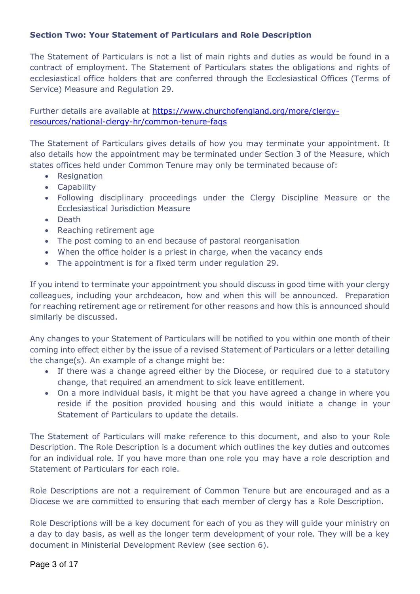#### **Section Two: Your Statement of Particulars and Role Description**

The Statement of Particulars is not a list of main rights and duties as would be found in a contract of employment. The Statement of Particulars states the obligations and rights of ecclesiastical office holders that are conferred through the Ecclesiastical Offices (Terms of Service) Measure and Regulation 29.

Further details are available at [https://www.churchofengland.org/more/clergy](https://www.churchofengland.org/more/clergy-resources/national-clergy-hr/common-tenure-faqs)[resources/national-clergy-hr/common-tenure-faqs](https://www.churchofengland.org/more/clergy-resources/national-clergy-hr/common-tenure-faqs)

The Statement of Particulars gives details of how you may terminate your appointment. It also details how the appointment may be terminated under Section 3 of the Measure, which states offices held under Common Tenure may only be terminated because of:

- Resignation
- Capability
- Following disciplinary proceedings under the Clergy Discipline Measure or the Ecclesiastical Jurisdiction Measure
- Death
- Reaching retirement age
- The post coming to an end because of pastoral reorganisation
- When the office holder is a priest in charge, when the vacancy ends
- The appointment is for a fixed term under regulation 29.

If you intend to terminate your appointment you should discuss in good time with your clergy colleagues, including your archdeacon, how and when this will be announced. Preparation for reaching retirement age or retirement for other reasons and how this is announced should similarly be discussed.

Any changes to your Statement of Particulars will be notified to you within one month of their coming into effect either by the issue of a revised Statement of Particulars or a letter detailing the change(s). An example of a change might be:

- If there was a change agreed either by the Diocese, or required due to a statutory change, that required an amendment to sick leave entitlement.
- On a more individual basis, it might be that you have agreed a change in where you reside if the position provided housing and this would initiate a change in your Statement of Particulars to update the details.

The Statement of Particulars will make reference to this document, and also to your Role Description. The Role Description is a document which outlines the key duties and outcomes for an individual role. If you have more than one role you may have a role description and Statement of Particulars for each role.

Role Descriptions are not a requirement of Common Tenure but are encouraged and as a Diocese we are committed to ensuring that each member of clergy has a Role Description.

Role Descriptions will be a key document for each of you as they will guide your ministry on a day to day basis, as well as the longer term development of your role. They will be a key document in Ministerial Development Review (see section 6).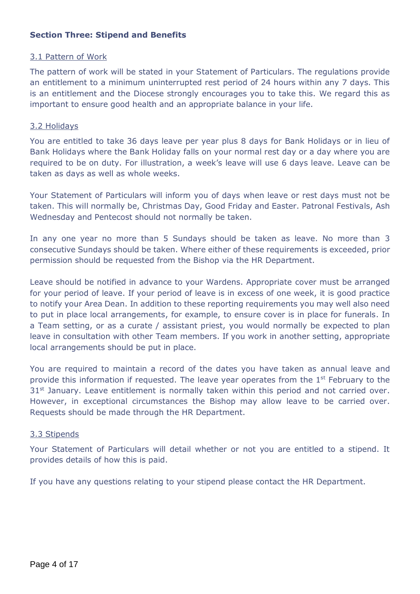#### **Section Three: Stipend and Benefits**

#### 3.1 Pattern of Work

The pattern of work will be stated in your Statement of Particulars. The regulations provide an entitlement to a minimum uninterrupted rest period of 24 hours within any 7 days. This is an entitlement and the Diocese strongly encourages you to take this. We regard this as important to ensure good health and an appropriate balance in your life.

#### 3.2 Holidays

You are entitled to take 36 days leave per year plus 8 days for Bank Holidays or in lieu of Bank Holidays where the Bank Holiday falls on your normal rest day or a day where you are required to be on duty. For illustration, a week's leave will use 6 days leave. Leave can be taken as days as well as whole weeks.

Your Statement of Particulars will inform you of days when leave or rest days must not be taken. This will normally be, Christmas Day, Good Friday and Easter. Patronal Festivals, Ash Wednesday and Pentecost should not normally be taken.

In any one year no more than 5 Sundays should be taken as leave. No more than 3 consecutive Sundays should be taken. Where either of these requirements is exceeded, prior permission should be requested from the Bishop via the HR Department.

Leave should be notified in advance to your Wardens. Appropriate cover must be arranged for your period of leave. If your period of leave is in excess of one week, it is good practice to notify your Area Dean. In addition to these reporting requirements you may well also need to put in place local arrangements, for example, to ensure cover is in place for funerals. In a Team setting, or as a curate / assistant priest, you would normally be expected to plan leave in consultation with other Team members. If you work in another setting, appropriate local arrangements should be put in place.

You are required to maintain a record of the dates you have taken as annual leave and provide this information if requested. The leave year operates from the 1<sup>st</sup> February to the  $31<sup>st</sup>$  January. Leave entitlement is normally taken within this period and not carried over. However, in exceptional circumstances the Bishop may allow leave to be carried over. Requests should be made through the HR Department.

#### 3.3 Stipends

Your Statement of Particulars will detail whether or not you are entitled to a stipend. It provides details of how this is paid.

If you have any questions relating to your stipend please contact the HR Department.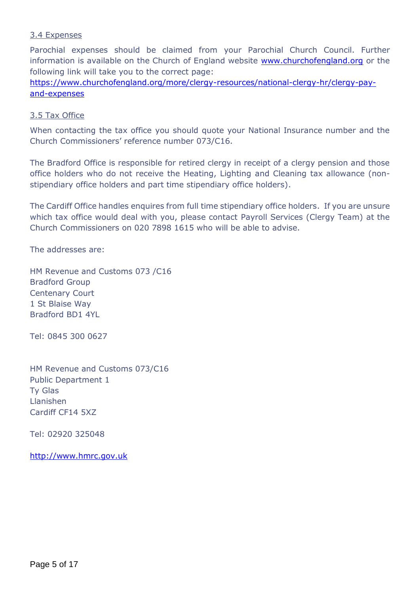#### 3.4 Expenses

Parochial expenses should be claimed from your Parochial Church Council. Further information is available on the Church of England website [www.churchofengland.org](http://www.churchofengland.org/) or the following link will take you to the correct page:

[https://www.churchofengland.org/more/clergy-resources/national-clergy-hr/clergy-pay](https://www.churchofengland.org/more/clergy-resources/national-clergy-hr/clergy-pay-and-expenses)[and-expenses](https://www.churchofengland.org/more/clergy-resources/national-clergy-hr/clergy-pay-and-expenses)

#### 3.5 Tax Office

When contacting the tax office you should quote your National Insurance number and the Church Commissioners' reference number 073/C16.

The Bradford Office is responsible for retired clergy in receipt of a clergy pension and those office holders who do not receive the Heating, Lighting and Cleaning tax allowance (nonstipendiary office holders and part time stipendiary office holders).

The Cardiff Office handles enquires from full time stipendiary office holders. If you are unsure which tax office would deal with you, please contact Payroll Services (Clergy Team) at the Church Commissioners on 020 7898 1615 who will be able to advise.

The addresses are:

HM Revenue and Customs 073 /C16 Bradford Group Centenary Court 1 St Blaise Way Bradford BD1 4YL

Tel: 0845 300 0627

HM Revenue and Customs 073/C16 Public Department 1 Ty Glas Llanishen Cardiff CF14 5XZ

Tel: 02920 325048

[http://www.hmrc.gov.uk](http://www.hmrc.gov.uk/)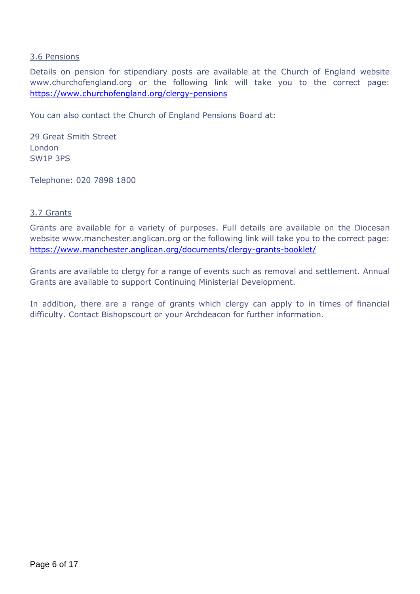#### 3.6 Pensions

Details on pension for stipendiary posts are available at the Church of England website www.churchofengland.org or the following link will take you to the correct page: <https://www.churchofengland.org/clergy-pensions>

You can also contact the Church of England Pensions Board at:

29 Great Smith Street London SW1P 3PS

Telephone: 020 7898 1800

#### 3.7 Grants

Grants are available for a variety of purposes. Full details are available on the Diocesan website www.manchester.anglican.org or the following link will take you to the correct page: <https://www.manchester.anglican.org/documents/clergy-grants-booklet/>

Grants are available to clergy for a range of events such as removal and settlement. Annual Grants are available to support Continuing Ministerial Development.

In addition, there are a range of grants which clergy can apply to in times of financial difficulty. Contact Bishopscourt or your Archdeacon for further information.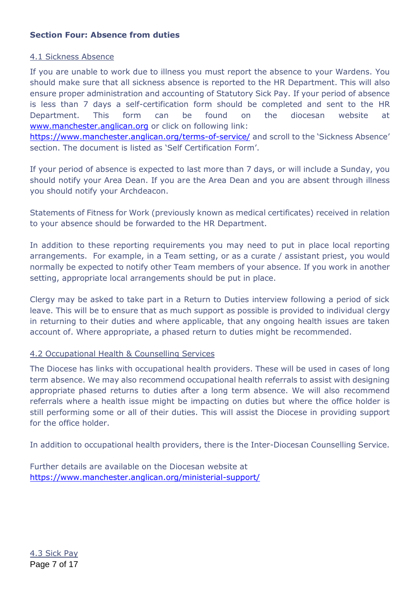#### **Section Four: Absence from duties**

#### 4.1 Sickness Absence

If you are unable to work due to illness you must report the absence to your Wardens. You should make sure that all sickness absence is reported to the HR Department. This will also ensure proper administration and accounting of Statutory Sick Pay. If your period of absence is less than 7 days a self-certification form should be completed and sent to the HR Department. This form can be found on the diocesan website at [www.manchester.anglican.org](http://www.manchester.anglican.org/) or click on following link: <https://www.manchester.anglican.org/terms-of-service/> and scroll to the 'Sickness Absence'

section. The document is listed as 'Self Certification Form'.

If your period of absence is expected to last more than 7 days, or will include a Sunday, you should notify your Area Dean. If you are the Area Dean and you are absent through illness you should notify your Archdeacon.

Statements of Fitness for Work (previously known as medical certificates) received in relation to your absence should be forwarded to the HR Department.

In addition to these reporting requirements you may need to put in place local reporting arrangements. For example, in a Team setting, or as a curate / assistant priest, you would normally be expected to notify other Team members of your absence. If you work in another setting, appropriate local arrangements should be put in place.

Clergy may be asked to take part in a Return to Duties interview following a period of sick leave. This will be to ensure that as much support as possible is provided to individual clergy in returning to their duties and where applicable, that any ongoing health issues are taken account of. Where appropriate, a phased return to duties might be recommended.

#### 4.2 Occupational Health & Counselling Services

The Diocese has links with occupational health providers. These will be used in cases of long term absence. We may also recommend occupational health referrals to assist with designing appropriate phased returns to duties after a long term absence. We will also recommend referrals where a health issue might be impacting on duties but where the office holder is still performing some or all of their duties. This will assist the Diocese in providing support for the office holder.

In addition to occupational health providers, there is the Inter-Diocesan Counselling Service.

Further details are available on the Diocesan website at <https://www.manchester.anglican.org/ministerial-support/>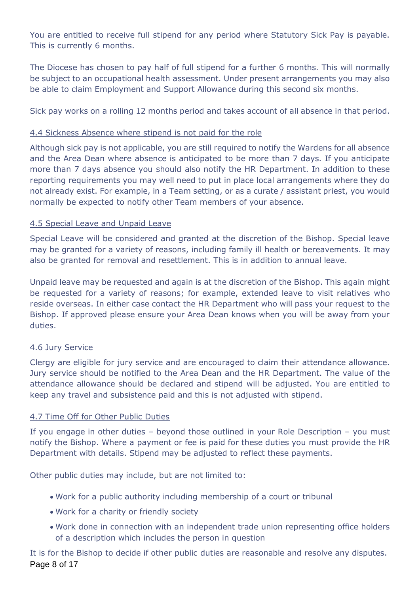You are entitled to receive full stipend for any period where Statutory Sick Pay is payable. This is currently 6 months.

The Diocese has chosen to pay half of full stipend for a further 6 months. This will normally be subject to an occupational health assessment. Under present arrangements you may also be able to claim Employment and Support Allowance during this second six months.

Sick pay works on a rolling 12 months period and takes account of all absence in that period.

#### 4.4 Sickness Absence where stipend is not paid for the role

Although sick pay is not applicable, you are still required to notify the Wardens for all absence and the Area Dean where absence is anticipated to be more than 7 days. If you anticipate more than 7 days absence you should also notify the HR Department. In addition to these reporting requirements you may well need to put in place local arrangements where they do not already exist. For example, in a Team setting, or as a curate / assistant priest, you would normally be expected to notify other Team members of your absence.

#### 4.5 Special Leave and Unpaid Leave

Special Leave will be considered and granted at the discretion of the Bishop. Special leave may be granted for a variety of reasons, including family ill health or bereavements. It may also be granted for removal and resettlement. This is in addition to annual leave.

Unpaid leave may be requested and again is at the discretion of the Bishop. This again might be requested for a variety of reasons; for example, extended leave to visit relatives who reside overseas. In either case contact the HR Department who will pass your request to the Bishop. If approved please ensure your Area Dean knows when you will be away from your duties.

#### 4.6 Jury Service

Clergy are eligible for jury service and are encouraged to claim their attendance allowance. Jury service should be notified to the Area Dean and the HR Department. The value of the attendance allowance should be declared and stipend will be adjusted. You are entitled to keep any travel and subsistence paid and this is not adjusted with stipend.

#### 4.7 Time Off for Other Public Duties

If you engage in other duties – beyond those outlined in your Role Description – you must notify the Bishop. Where a payment or fee is paid for these duties you must provide the HR Department with details. Stipend may be adjusted to reflect these payments.

Other public duties may include, but are not limited to:

- Work for a public authority including membership of a court or tribunal
- Work for a charity or friendly society
- Work done in connection with an independent trade union representing office holders of a description which includes the person in question

Page 8 of 17 It is for the Bishop to decide if other public duties are reasonable and resolve any disputes.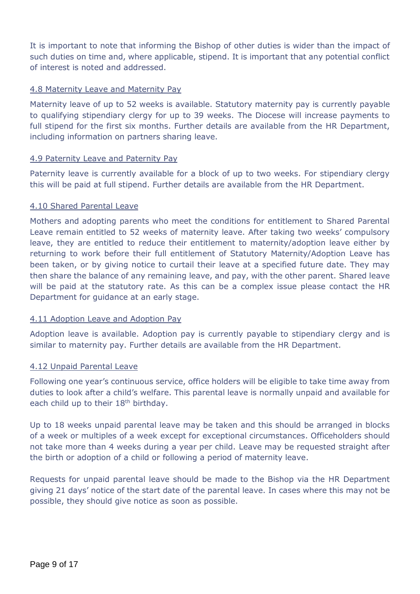It is important to note that informing the Bishop of other duties is wider than the impact of such duties on time and, where applicable, stipend. It is important that any potential conflict of interest is noted and addressed.

#### 4.8 Maternity Leave and Maternity Pay

Maternity leave of up to 52 weeks is available. Statutory maternity pay is currently payable to qualifying stipendiary clergy for up to 39 weeks. The Diocese will increase payments to full stipend for the first six months. Further details are available from the HR Department, including information on partners sharing leave.

#### 4.9 Paternity Leave and Paternity Pay

Paternity leave is currently available for a block of up to two weeks. For stipendiary clergy this will be paid at full stipend. Further details are available from the HR Department.

#### 4.10 Shared Parental Leave

Mothers and adopting parents who meet the conditions for entitlement to Shared Parental Leave remain entitled to 52 weeks of maternity leave. After taking two weeks' compulsory leave, they are entitled to reduce their entitlement to maternity/adoption leave either by returning to work before their full entitlement of Statutory Maternity/Adoption Leave has been taken, or by giving notice to curtail their leave at a specified future date. They may then share the balance of any remaining leave, and pay, with the other parent. Shared leave will be paid at the statutory rate. As this can be a complex issue please contact the HR Department for guidance at an early stage.

#### 4.11 Adoption Leave and Adoption Pay

Adoption leave is available. Adoption pay is currently payable to stipendiary clergy and is similar to maternity pay. Further details are available from the HR Department.

#### 4.12 Unpaid Parental Leave

Following one year's continuous service, office holders will be eligible to take time away from duties to look after a child's welfare. This parental leave is normally unpaid and available for each child up to their 18<sup>th</sup> birthday.

Up to 18 weeks unpaid parental leave may be taken and this should be arranged in blocks of a week or multiples of a week except for exceptional circumstances. Officeholders should not take more than 4 weeks during a year per child. Leave may be requested straight after the birth or adoption of a child or following a period of maternity leave.

Requests for unpaid parental leave should be made to the Bishop via the HR Department giving 21 days' notice of the start date of the parental leave. In cases where this may not be possible, they should give notice as soon as possible.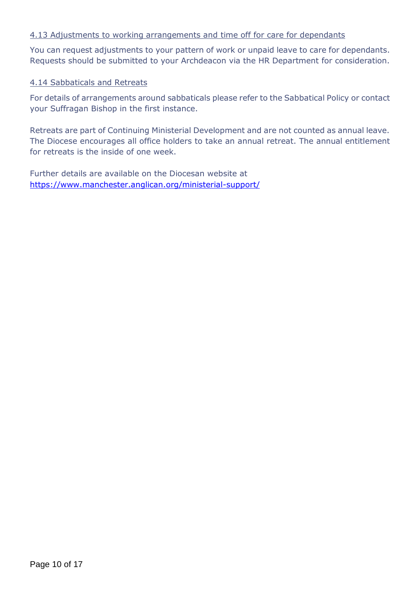#### 4.13 Adjustments to working arrangements and time off for care for dependants

You can request adjustments to your pattern of work or unpaid leave to care for dependants. Requests should be submitted to your Archdeacon via the HR Department for consideration.

#### 4.14 Sabbaticals and Retreats

For details of arrangements around sabbaticals please refer to the Sabbatical Policy or contact your Suffragan Bishop in the first instance.

Retreats are part of Continuing Ministerial Development and are not counted as annual leave. The Diocese encourages all office holders to take an annual retreat. The annual entitlement for retreats is the inside of one week.

Further details are available on the Diocesan website at <https://www.manchester.anglican.org/ministerial-support/>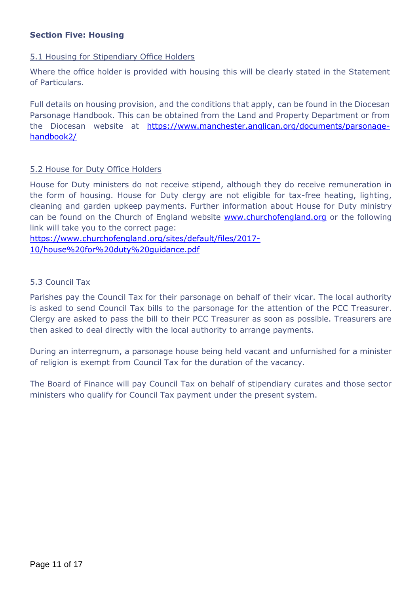#### **Section Five: Housing**

#### 5.1 Housing for Stipendiary Office Holders

Where the office holder is provided with housing this will be clearly stated in the Statement of Particulars.

Full details on housing provision, and the conditions that apply, can be found in the Diocesan Parsonage Handbook. This can be obtained from the Land and Property Department or from the Diocesan website at [https://www.manchester.anglican.org/documents/parsonage](https://www.manchester.anglican.org/documents/parsonage-handbook2/)[handbook2/](https://www.manchester.anglican.org/documents/parsonage-handbook2/)

#### 5.2 House for Duty Office Holders

House for Duty ministers do not receive stipend, although they do receive remuneration in the form of housing. House for Duty clergy are not eligible for tax-free heating, lighting, cleaning and garden upkeep payments. Further information about House for Duty ministry can be found on the Church of England website [www.churchofengland.org](http://www.churchofengland.org/) or the following link will take you to the correct page:

[https://www.churchofengland.org/sites/default/files/2017-](https://www.churchofengland.org/sites/default/files/2017-10/house%20for%20duty%20guidance.pdf) [10/house%20for%20duty%20guidance.pdf](https://www.churchofengland.org/sites/default/files/2017-10/house%20for%20duty%20guidance.pdf)

#### 5.3 Council Tax

Parishes pay the Council Tax for their parsonage on behalf of their vicar. The local authority is asked to send Council Tax bills to the parsonage for the attention of the PCC Treasurer. Clergy are asked to pass the bill to their PCC Treasurer as soon as possible. Treasurers are then asked to deal directly with the local authority to arrange payments.

During an interregnum, a parsonage house being held vacant and unfurnished for a minister of religion is exempt from Council Tax for the duration of the vacancy.

The Board of Finance will pay Council Tax on behalf of stipendiary curates and those sector ministers who qualify for Council Tax payment under the present system.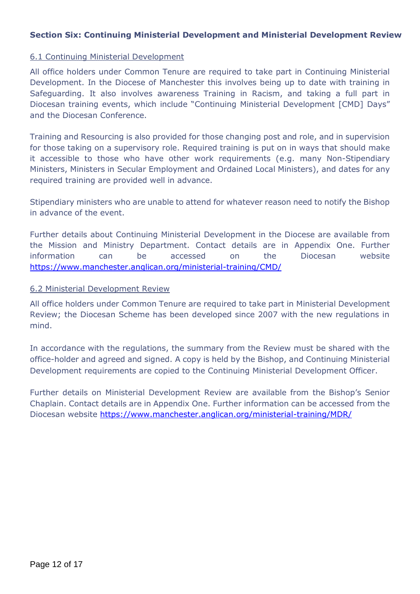#### **Section Six: Continuing Ministerial Development and Ministerial Development Review**

#### 6.1 Continuing Ministerial Development

All office holders under Common Tenure are required to take part in Continuing Ministerial Development. In the Diocese of Manchester this involves being up to date with training in Safeguarding. It also involves awareness Training in Racism, and taking a full part in Diocesan training events, which include "Continuing Ministerial Development [CMD] Days" and the Diocesan Conference.

Training and Resourcing is also provided for those changing post and role, and in supervision for those taking on a supervisory role. Required training is put on in ways that should make it accessible to those who have other work requirements (e.g. many Non-Stipendiary Ministers, Ministers in Secular Employment and Ordained Local Ministers), and dates for any required training are provided well in advance.

Stipendiary ministers who are unable to attend for whatever reason need to notify the Bishop in advance of the event.

Further details about Continuing Ministerial Development in the Diocese are available from the Mission and Ministry Department. Contact details are in Appendix One. Further information can be accessed on the Diocesan website <https://www.manchester.anglican.org/ministerial-training/CMD/>

#### 6.2 Ministerial Development Review

All office holders under Common Tenure are required to take part in Ministerial Development Review; the Diocesan Scheme has been developed since 2007 with the new regulations in mind.

In accordance with the regulations, the summary from the Review must be shared with the office-holder and agreed and signed. A copy is held by the Bishop, and Continuing Ministerial Development requirements are copied to the Continuing Ministerial Development Officer.

Further details on Ministerial Development Review are available from the Bishop's Senior Chaplain. Contact details are in Appendix One. Further information can be accessed from the Diocesan website <https://www.manchester.anglican.org/ministerial-training/MDR/>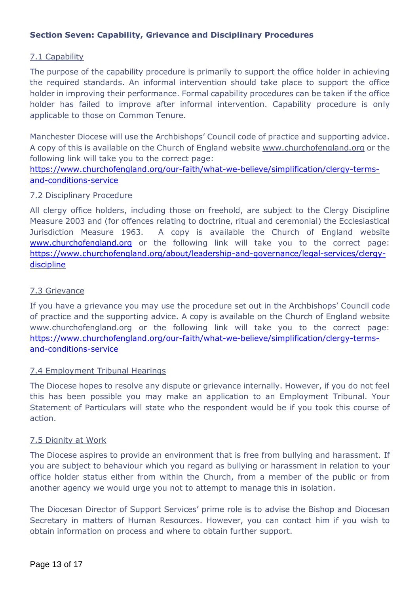#### **Section Seven: Capability, Grievance and Disciplinary Procedures**

#### 7.1 Capability

The purpose of the capability procedure is primarily to support the office holder in achieving the required standards. An informal intervention should take place to support the office holder in improving their performance. Formal capability procedures can be taken if the office holder has failed to improve after informal intervention. Capability procedure is only applicable to those on Common Tenure.

Manchester Diocese will use the Archbishops' Council code of practice and supporting advice. A copy of this is available on the Church of England website www.churchofengland.org or the following link will take you to the correct page:

[https://www.churchofengland.org/our-faith/what-we-believe/simplification/clergy-terms](https://www.churchofengland.org/our-faith/what-we-believe/simplification/clergy-terms-and-conditions-service)[and-conditions-service](https://www.churchofengland.org/our-faith/what-we-believe/simplification/clergy-terms-and-conditions-service)

#### 7.2 Disciplinary Procedure

All clergy office holders, including those on freehold, are subject to the Clergy Discipline Measure 2003 and (for offences relating to doctrine, ritual and ceremonial) the Ecclesiastical Jurisdiction Measure 1963. A copy is available the Church of England website [www.churchofengland.org](http://www.churchofengland.org/) or the following link will take you to the correct page: [https://www.churchofengland.org/about/leadership-and-governance/legal-services/clergy](https://www.churchofengland.org/about/leadership-and-governance/legal-services/clergy-discipline)[discipline](https://www.churchofengland.org/about/leadership-and-governance/legal-services/clergy-discipline)

#### 7.3 Grievance

If you have a grievance you may use the procedure set out in the Archbishops' Council code of practice and the supporting advice. A copy is available on the Church of England website www.churchofengland.org or the following link will take you to the correct page: [https://www.churchofengland.org/our-faith/what-we-believe/simplification/clergy-terms](https://www.churchofengland.org/our-faith/what-we-believe/simplification/clergy-terms-and-conditions-service)[and-conditions-service](https://www.churchofengland.org/our-faith/what-we-believe/simplification/clergy-terms-and-conditions-service)

#### 7.4 Employment Tribunal Hearings

The Diocese hopes to resolve any dispute or grievance internally. However, if you do not feel this has been possible you may make an application to an Employment Tribunal. Your Statement of Particulars will state who the respondent would be if you took this course of action.

#### 7.5 Dignity at Work

The Diocese aspires to provide an environment that is free from bullying and harassment. If you are subject to behaviour which you regard as bullying or harassment in relation to your office holder status either from within the Church, from a member of the public or from another agency we would urge you not to attempt to manage this in isolation.

The Diocesan Director of Support Services' prime role is to advise the Bishop and Diocesan Secretary in matters of Human Resources. However, you can contact him if you wish to obtain information on process and where to obtain further support.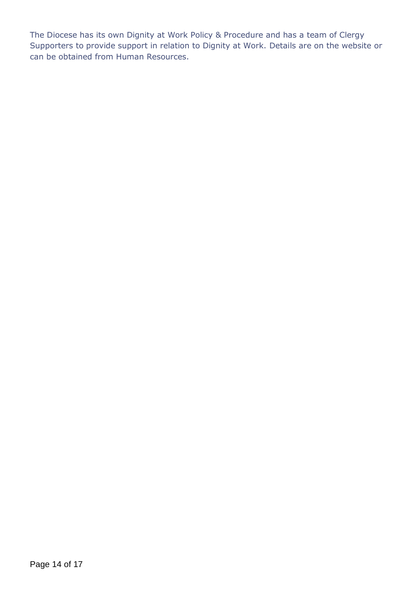The Diocese has its own Dignity at Work Policy & Procedure and has a team of Clergy Supporters to provide support in relation to Dignity at Work. Details are on the website or can be obtained from Human Resources.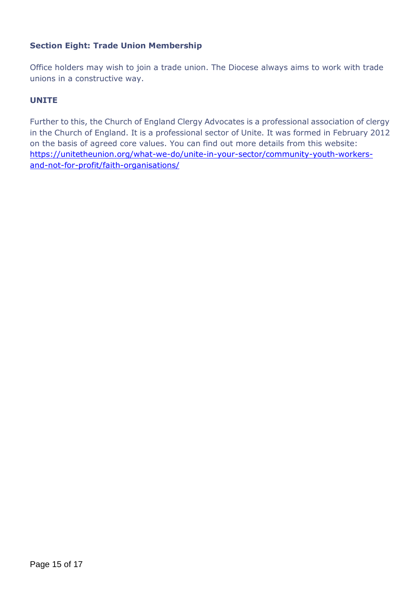#### **Section Eight: Trade Union Membership**

Office holders may wish to join a trade union. The Diocese always aims to work with trade unions in a constructive way.

#### **UNITE**

Further to this, the Church of England Clergy Advocates is a professional association of clergy in the Church of England. It is a professional sector of Unite. It was formed in February 2012 on the basis of agreed core values. You can find out more details from this website: [https://unitetheunion.org/what-we-do/unite-in-your-sector/community-youth-workers](https://unitetheunion.org/what-we-do/unite-in-your-sector/community-youth-workers-and-not-for-profit/faith-organisations/)[and-not-for-profit/faith-organisations/](https://unitetheunion.org/what-we-do/unite-in-your-sector/community-youth-workers-and-not-for-profit/faith-organisations/)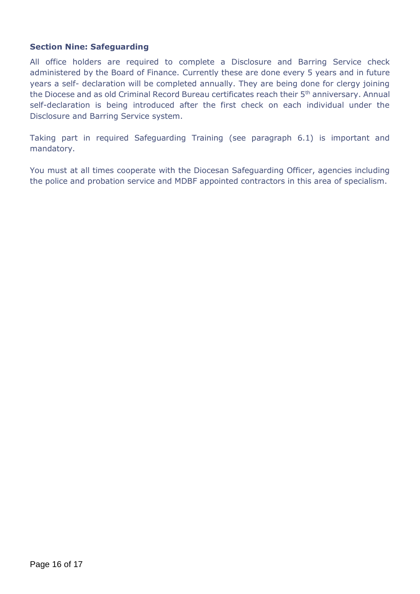#### **Section Nine: Safeguarding**

All office holders are required to complete a Disclosure and Barring Service check administered by the Board of Finance. Currently these are done every 5 years and in future years a self- declaration will be completed annually. They are being done for clergy joining the Diocese and as old Criminal Record Bureau certificates reach their 5<sup>th</sup> anniversary. Annual self-declaration is being introduced after the first check on each individual under the Disclosure and Barring Service system.

Taking part in required Safeguarding Training (see paragraph 6.1) is important and mandatory.

You must at all times cooperate with the Diocesan Safeguarding Officer, agencies including the police and probation service and MDBF appointed contractors in this area of specialism.